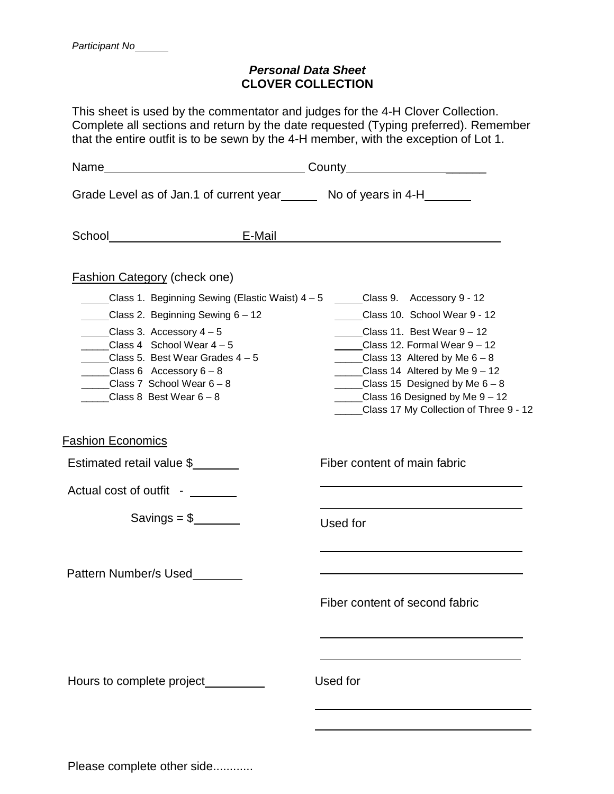## *Personal Data Sheet* **CLOVER COLLECTION**

This sheet is used by the commentator and judges for the 4-H Clover Collection. Complete all sections and return by the date requested (Typing preferred). Remember that the entire outfit is to be sewn by the 4-H member, with the exception of Lot 1.

|                                                                                                                                                                                                                            | Grade Level as of Jan.1 of current year _______ No of years in 4-H_______                                                                                                                                                                                                                                                                                                                     |  |
|----------------------------------------------------------------------------------------------------------------------------------------------------------------------------------------------------------------------------|-----------------------------------------------------------------------------------------------------------------------------------------------------------------------------------------------------------------------------------------------------------------------------------------------------------------------------------------------------------------------------------------------|--|
|                                                                                                                                                                                                                            | School E-Mail E-Mail Contract of the Contract of the Contract of the Contract of the Contract of the Contract of the Contract of the Contract of the Contract of the Contract of the Contract of the Contract of the Contract                                                                                                                                                                 |  |
| <b>Fashion Category (check one)</b>                                                                                                                                                                                        |                                                                                                                                                                                                                                                                                                                                                                                               |  |
| Class 2. Beginning Sewing 6 - 12<br>Class 3. Accessory $4-5$<br>Class 4 School Wear $4-5$<br>Class 5. Best Wear Grades $4-5$<br>_____Class 6 Accessory $6 - 8$<br>Class 7 School Wear $6 - 8$<br>Class 8 Best Wear $6 - 8$ | <u>Class 1.</u> Beginning Sewing (Elastic Waist) 4 – 5 <u>_</u> ____Class 9. Accessory 9 - 12<br>Class 10. School Wear 9 - 12<br>Class 11. Best Wear $9 - 12$<br>Class 12. Formal Wear 9 - 12<br>Class 13 Altered by Me $6 - 8$<br>$\_\_\_\_$ Class 14 Altered by Me $9-12$<br>_____Class 15 Designed by Me $6-8$<br>Class 16 Designed by Me 9 - 12<br>Class 17 My Collection of Three 9 - 12 |  |
| <b>Fashion Economics</b>                                                                                                                                                                                                   |                                                                                                                                                                                                                                                                                                                                                                                               |  |
| Estimated retail value \$                                                                                                                                                                                                  | Fiber content of main fabric                                                                                                                                                                                                                                                                                                                                                                  |  |
| Actual cost of outfit -                                                                                                                                                                                                    |                                                                                                                                                                                                                                                                                                                                                                                               |  |
|                                                                                                                                                                                                                            | Used for                                                                                                                                                                                                                                                                                                                                                                                      |  |
| Pattern Number/s Used                                                                                                                                                                                                      |                                                                                                                                                                                                                                                                                                                                                                                               |  |
|                                                                                                                                                                                                                            | Fiber content of second fabric<br>Used for                                                                                                                                                                                                                                                                                                                                                    |  |
|                                                                                                                                                                                                                            |                                                                                                                                                                                                                                                                                                                                                                                               |  |

Please complete other side............